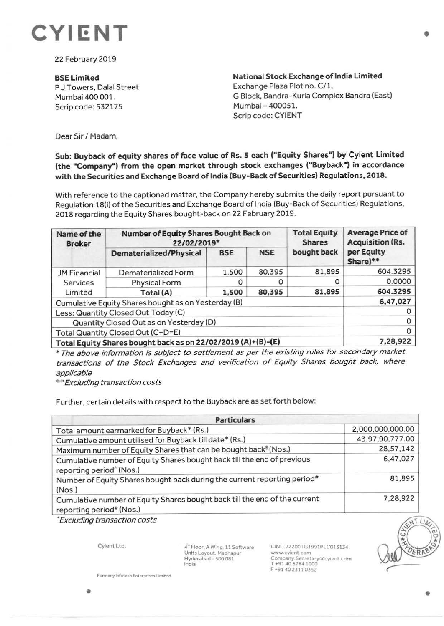

22 February 2019

**BSELimited**  P J Towers, Dalal Street Mumbai 400 001. Scrip code: 532175

**National Stock Exchange of India Limited**  Exchange Plaza Plot no. C/1, G Block, Bandra-Kurla Complex Sandra (East) Mumbai- 400051. Scrip code: CYIENT

Dear Sir/ Madam,

## **Sub: Buyback of equity shares of face value of Rs. S each ("Equity Shares") by Cyient Limited (the "Company") from the open market through stock exchanges ("Buyback") in accordance**  with the Securities and Exchange Board of India (Buy-Back of Securities) Regulations, 2018.

With reference to the captioned matter, the Company hereby submits the daily report pursuant to Regulation 18(i) of the Securities and Exchange Board of India (Buy-Back of Securities) Regulations, 2018 regarding the Equity Shares bought-back on 22 February 2019.

| Name of the<br><b>Broker</b>                                 | <b>Number of Equity Shares Bought Back on</b><br>22/02/2019* |            |            | <b>Total Equity</b><br><b>Shares</b> | <b>Average Price of</b><br><b>Acquisition (Rs.</b> |
|--------------------------------------------------------------|--------------------------------------------------------------|------------|------------|--------------------------------------|----------------------------------------------------|
|                                                              | Dematerialized/Physical                                      | <b>BSE</b> | <b>NSE</b> | bought back                          | per Equity<br>Share)**                             |
| <b>JM Financial</b>                                          | Dematerialized Form                                          | 1,500      | 80,395     | 81,895                               | 604.3295                                           |
| Services                                                     | <b>Physical Form</b>                                         |            |            | Ο                                    | 0.0000                                             |
| Limited                                                      | Total (A)                                                    | 1,500      | 80,395     | 81,895                               | 604.3295                                           |
| Cumulative Equity Shares bought as on Yesterday (B)          |                                                              |            |            |                                      | 6,47,027                                           |
| Less: Quantity Closed Out Today (C)                          |                                                              |            |            |                                      |                                                    |
| Quantity Closed Out as on Yesterday (D)                      |                                                              |            |            |                                      | 0                                                  |
| Total Quantity Closed Out (C+D=E)                            |                                                              |            |            |                                      | O                                                  |
| Total Equity Shares bought back as on 22/02/2019 (A)+(B)-(E) | 7,28,922                                                     |            |            |                                      |                                                    |

\* The above information is subject to settlement as per the existing rules for secondary market transactions of the Stock Exchanges and verification of Equity Shares bought back, where applicable

\*\* Excluding transaction costs

Further, certain details with respect to the Buyback are as set forth below:

| <b>Particulars</b>                                                                                              |                  |  |  |  |
|-----------------------------------------------------------------------------------------------------------------|------------------|--|--|--|
| Total amount earmarked for Buyback* (Rs.)                                                                       | 2,000,000,000.00 |  |  |  |
| Cumulative amount utilised for Buyback till date* (Rs.)                                                         | 43,97,90,777.00  |  |  |  |
| Maximum number of Equity Shares that can be bought back <sup>\$</sup> (Nos.)                                    | 28,57,142        |  |  |  |
| Cumulative number of Equity Shares bought back till the end of previous<br>reporting period <sup>^</sup> (Nos.) | 6,47,027         |  |  |  |
| Number of Equity Shares bought back during the current reporting period#<br>(Nos.)                              | 81,895           |  |  |  |
| Cumulative number of Equity Shares bought back till the end of the current<br>reporting period# (Nos.)          | 7,28,922         |  |  |  |

• Excluding transaction costs

Cylent Ltd.

4~ Floor, A Wing, 11 Software Units Layout. Madhapur Hyderabad - S00081 India

CIN: L72200TG1991PLC013134 www.cyient.com Company.Secretary@cyient.com T +91406764 1000 F +91402311 0352

 $$ 

•